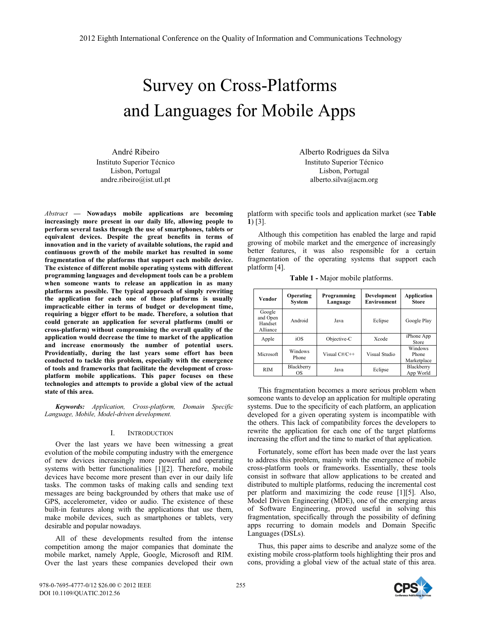# Survey on Cross-Platforms and Languages for Mobile Apps

André Ribeiro Instituto Superior Técnico Lisbon, Portugal andre.ribeiro@ist.utl.pt

*Abstract* **— Nowadays mobile applications are becoming increasingly more present in our daily life, allowing people to perform several tasks through the use of smartphones, tablets or equivalent devices. Despite the great benefits in terms of innovation and in the variety of available solutions, the rapid and continuous growth of the mobile market has resulted in some fragmentation of the platforms that support each mobile device. The existence of different mobile operating systems with different programming languages and development tools can be a problem when someone wants to release an application in as many platforms as possible. The typical approach of simply rewriting the application for each one of those platforms is usually impracticable either in terms of budget or development time, requiring a bigger effort to be made. Therefore, a solution that could generate an application for several platforms (multi or cross-platform) without compromising the overall quality of the application would decrease the time to market of the application and increase enormously the number of potential users. Providentially, during the last years some effort has been conducted to tackle this problem, especially with the emergence of tools and frameworks that facilitate the development of crossplatform mobile applications. This paper focuses on these technologies and attempts to provide a global view of the actual state of this area.** 

*Keywords: Application, Cross-platform, Domain Specific Language, Mobile, Model-driven development.*

# I. INTRODUCTION

Over the last years we have been witnessing a great evolution of the mobile computing industry with the emergence of new devices increasingly more powerful and operating systems with better functionalities [1][2]. Therefore, mobile devices have become more present than ever in our daily life tasks. The common tasks of making calls and sending text messages are being backgrounded by others that make use of GPS, accelerometer, video or audio. The existence of these built-in features along with the applications that use them, make mobile devices, such as smartphones or tablets, very desirable and popular nowadays.

All of these developments resulted from the intense competition among the major companies that dominate the mobile market, namely Apple, Google, Microsoft and RIM. Over the last years these companies developed their own Alberto Rodrigues da Silva Instituto Superior Técnico Lisbon, Portugal alberto.silva@acm.org

platform with specific tools and application market (see **Table 1**) [3].

Although this competition has enabled the large and rapid growing of mobile market and the emergence of increasingly better features, it was also responsible for a certain fragmentation of the operating systems that support each platform [4].

**Table 1 -** Major mobile platforms.

| Vendor                                    | Operating<br><b>System</b> | Programming<br>Language | <b>Development</b><br><b>Environment</b> | <b>Application</b><br>Store     |  |
|-------------------------------------------|----------------------------|-------------------------|------------------------------------------|---------------------------------|--|
| Google<br>and Open<br>Handset<br>Alliance | Android                    | Java                    | Eclipse                                  | Google Play                     |  |
| Apple                                     | iOS                        | Objective-C             | Xcode                                    | iPhone App<br>Store             |  |
| Microsoft                                 | Windows<br>Phone           | Visual $C\#/C++$        | Visual Studio                            | Windows<br>Phone<br>Marketplace |  |
| <b>RIM</b>                                | Blackberry<br>OS           | Java                    | Eclipse                                  | Blackberry<br>App World         |  |

This fragmentation becomes a more serious problem when someone wants to develop an application for multiple operating systems. Due to the specificity of each platform, an application developed for a given operating system is incompatible with the others. This lack of compatibility forces the developers to rewrite the application for each one of the target platforms increasing the effort and the time to market of that application.

Fortunately, some effort has been made over the last years to address this problem, mainly with the emergence of mobile cross-platform tools or frameworks. Essentially, these tools consist in software that allow applications to be created and distributed to multiple platforms, reducing the incremental cost per platform and maximizing the code reuse [1][5]. Also, Model Driven Engineering (MDE), one of the emerging areas of Software Engineering, proved useful in solving this fragmentation, specifically through the possibility of defining apps recurring to domain models and Domain Specific Languages (DSLs).

Thus, this paper aims to describe and analyze some of the existing mobile cross-platform tools highlighting their pros and cons, providing a global view of the actual state of this area.

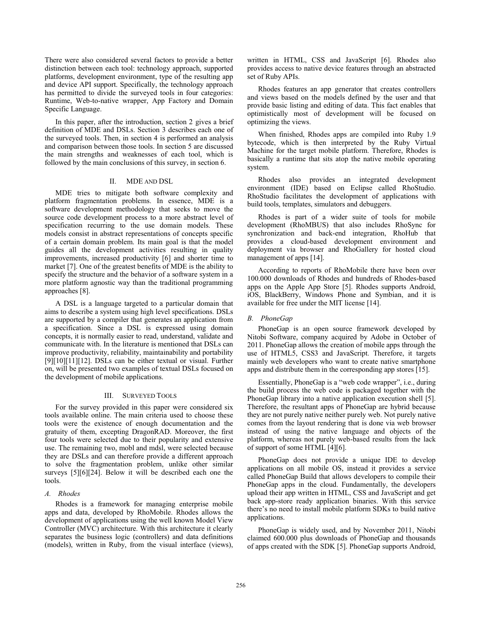There were also considered several factors to provide a better distinction between each tool: technology approach, supported platforms, development environment, type of the resulting app and device API support. Specifically, the technology approach has permitted to divide the surveyed tools in four categories: Runtime, Web-to-native wrapper, App Factory and Domain Specific Language.

In this paper, after the introduction, section 2 gives a brief definition of MDE and DSLs. Section 3 describes each one of the surveyed tools. Then, in section 4 is performed an analysis and comparison between those tools. In section 5 are discussed the main strengths and weaknesses of each tool, which is followed by the main conclusions of this survey, in section 6.

# II. MDE AND DSL

MDE tries to mitigate both software complexity and platform fragmentation problems. In essence, MDE is a software development methodology that seeks to move the source code development process to a more abstract level of specification recurring to the use domain models. These models consist in abstract representations of concepts specific of a certain domain problem. Its main goal is that the model guides all the development activities resulting in quality improvements, increased productivity [6] and shorter time to market [7]. One of the greatest benefits of MDE is the ability to specify the structure and the behavior of a software system in a more platform agnostic way than the traditional programming approaches [8].

A DSL is a language targeted to a particular domain that aims to describe a system using high level specifications. DSLs are supported by a compiler that generates an application from a specification. Since a DSL is expressed using domain concepts, it is normally easier to read, understand, validate and communicate with. In the literature is mentioned that DSLs can improve productivity, reliability, maintainability and portability [9][10][11][12]. DSLs can be either textual or visual. Further on, will be presented two examples of textual DSLs focused on the development of mobile applications.

#### III. SURVEYED TOOLS

For the survey provided in this paper were considered six tools available online. The main criteria used to choose these tools were the existence of enough documentation and the gratuity of them, excepting DragonRAD. Moreover, the first four tools were selected due to their popularity and extensive use. The remaining two, mobl and mdsl, were selected because they are DSLs and can therefore provide a different approach to solve the fragmentation problem, unlike other similar surveys [5][6][24]. Below it will be described each one the tools.

# *A. Rhodes*

Rhodes is a framework for managing enterprise mobile apps and data, developed by RhoMobile. Rhodes allows the development of applications using the well known Model View Controller (MVC) architecture. With this architecture it clearly separates the business logic (controllers) and data definitions (models), written in Ruby, from the visual interface (views), written in HTML, CSS and JavaScript [6]. Rhodes also provides access to native device features through an abstracted set of Ruby APIs.

Rhodes features an app generator that creates controllers and views based on the models defined by the user and that provide basic listing and editing of data. This fact enables that optimistically most of development will be focused on optimizing the views.

When finished, Rhodes apps are compiled into Ruby 1.9 bytecode, which is then interpreted by the Ruby Virtual Machine for the target mobile platform. Therefore, Rhodes is basically a runtime that sits atop the native mobile operating system.

Rhodes also provides an integrated development environment (IDE) based on Eclipse called RhoStudio. RhoStudio facilitates the development of applications with build tools, templates, simulators and debuggers.

Rhodes is part of a wider suite of tools for mobile development (RhoMBUS) that also includes RhoSync for synchronization and back-end integration, RhoHub that provides a cloud-based development environment and deployment via browser and RhoGallery for hosted cloud management of apps [14].

According to reports of RhoMobile there have been over 100.000 downloads of Rhodes and hundreds of Rhodes-based apps on the Apple App Store [5]. Rhodes supports Android, iOS, BlackBerry, Windows Phone and Symbian, and it is available for free under the MIT license [14].

#### *B. PhoneGap*

PhoneGap is an open source framework developed by Nitobi Software, company acquired by Adobe in October of 2011. PhoneGap allows the creation of mobile apps through the use of HTML5, CSS3 and JavaScript. Therefore, it targets mainly web developers who want to create native smartphone apps and distribute them in the corresponding app stores [15].

Essentially, PhoneGap is a "web code wrapper", i.e., during the build process the web code is packaged together with the PhoneGap library into a native application execution shell [5]. Therefore, the resultant apps of PhoneGap are hybrid because they are not purely native neither purely web. Not purely native comes from the layout rendering that is done via web browser instead of using the native language and objects of the platform, whereas not purely web-based results from the lack of support of some HTML [4][6].

PhoneGap does not provide a unique IDE to develop applications on all mobile OS, instead it provides a service called PhoneGap Build that allows developers to compile their PhoneGap apps in the cloud. Fundamentally, the developers upload their app written in HTML, CSS and JavaScript and get back app-store ready application binaries. With this service there's no need to install mobile platform SDKs to build native applications.

PhoneGap is widely used, and by November 2011, Nitobi claimed 600.000 plus downloads of PhoneGap and thousands of apps created with the SDK [5]. PhoneGap supports Android,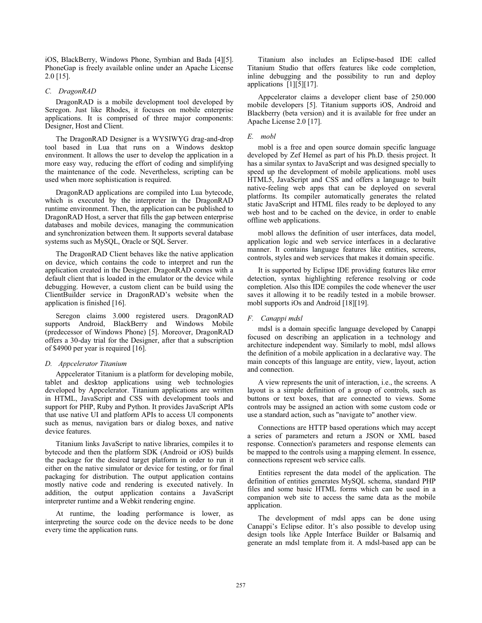iOS, BlackBerry, Windows Phone, Symbian and Bada [4][5]. PhoneGap is freely available online under an Apache License 2.0 [15].

# *C. DragonRAD*

DragonRAD is a mobile development tool developed by Seregon. Just like Rhodes, it focuses on mobile enterprise applications. It is comprised of three major components: Designer, Host and Client.

The DragonRAD Designer is a WYSIWYG drag-and-drop tool based in Lua that runs on a Windows desktop environment. It allows the user to develop the application in a more easy way, reducing the effort of coding and simplifying the maintenance of the code. Nevertheless, scripting can be used when more sophistication is required.

DragonRAD applications are compiled into Lua bytecode, which is executed by the interpreter in the DragonRAD runtime environment. Then, the application can be published to DragonRAD Host, a server that fills the gap between enterprise databases and mobile devices, managing the communication and synchronization between them. It supports several database systems such as MySQL, Oracle or SQL Server.

The DragonRAD Client behaves like the native application on device, which contains the code to interpret and run the application created in the Designer. DragonRAD comes with a default client that is loaded in the emulator or the device while debugging. However, a custom client can be build using the ClientBuilder service in DragonRAD's website when the application is finished [16].

Seregon claims 3.000 registered users. DragonRAD supports Android, BlackBerry and Windows Mobile (predecessor of Windows Phone) [5]. Moreover, DragonRAD offers a 30-day trial for the Designer, after that a subscription of \$4900 per year is required [16].

# *D. Appcelerator Titanium*

Appcelerator Titanium is a platform for developing mobile, tablet and desktop applications using web technologies developed by Appcelerator. Titanium applications are written in HTML, JavaScript and CSS with development tools and support for PHP, Ruby and Python. It provides JavaScript APIs that use native UI and platform APIs to access UI components such as menus, navigation bars or dialog boxes, and native device features.

Titanium links JavaScript to native libraries, compiles it to bytecode and then the platform SDK (Android or iOS) builds the package for the desired target platform in order to run it either on the native simulator or device for testing, or for final packaging for distribution. The output application contains mostly native code and rendering is executed natively. In addition, the output application contains a JavaScript interpreter runtime and a Webkit rendering engine.

At runtime, the loading performance is lower, as interpreting the source code on the device needs to be done every time the application runs.

Titanium also includes an Eclipse-based IDE called Titanium Studio that offers features like code completion, inline debugging and the possibility to run and deploy applications [1][5][17].

Appcelerator claims a developer client base of 250.000 mobile developers [5]. Titanium supports iOS, Android and Blackberry (beta version) and it is available for free under an Apache License 2.0 [17].

# *E. mobl*

mobl is a free and open source domain specific language developed by Zef Hemel as part of his Ph.D. thesis project. It has a similar syntax to JavaScript and was designed specially to speed up the development of mobile applications. mobl uses HTML5, JavaScript and CSS and offers a language to built native-feeling web apps that can be deployed on several platforms. Its compiler automatically generates the related static JavaScript and HTML files ready to be deployed to any web host and to be cached on the device, in order to enable offline web applications.

mobl allows the definition of user interfaces, data model, application logic and web service interfaces in a declarative manner. It contains language features like entities, screens, controls, styles and web services that makes it domain specific.

It is supported by Eclipse IDE providing features like error detection, syntax highlighting reference resolving or code completion. Also this IDE compiles the code whenever the user saves it allowing it to be readily tested in a mobile browser. mobl supports iOs and Android [18][19].

# *F. Canappi mdsl*

mdsl is a domain specific language developed by Canappi focused on describing an application in a technology and architecture independent way. Similarly to mobl, mdsl allows the definition of a mobile application in a declarative way. The main concepts of this language are entity, view, layout, action and connection.

A view represents the unit of interaction, i.e., the screens. A layout is a simple definition of a group of controls, such as buttons or text boxes, that are connected to views. Some controls may be assigned an action with some custom code or use a standard action, such as "navigate to" another view.

Connections are HTTP based operations which may accept a series of parameters and return a JSON or XML based response. Connection's parameters and response elements can be mapped to the controls using a mapping element. In essence, connections represent web service calls.

Entities represent the data model of the application. The definition of entities generates MySQL schema, standard PHP files and some basic HTML forms which can be used in a companion web site to access the same data as the mobile application.

The development of mdsl apps can be done using Canappi's Eclipse editor. It's also possible to develop using design tools like Apple Interface Builder or Balsamiq and generate an mdsl template from it. A mdsl-based app can be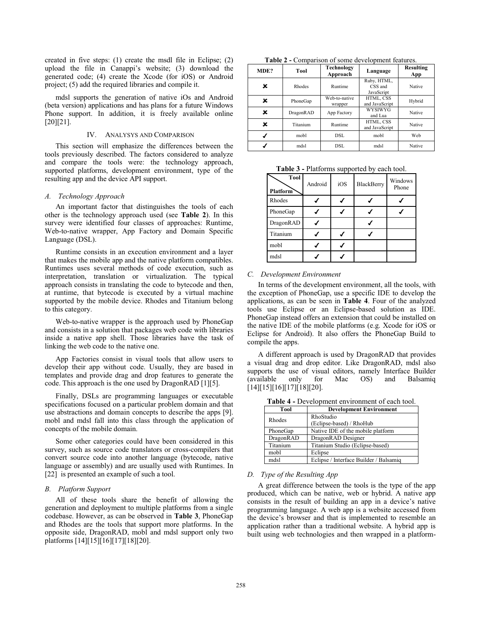created in five steps: (1) create the msdl file in Eclipse; (2) upload the file in Canappi's website; (3) download the generated code; (4) create the Xcode (for iOS) or Android project; (5) add the required libraries and compile it.

mdsl supports the generation of native iOs and Android (beta version) applications and has plans for a future Windows Phone support. In addition, it is freely available online [20][21].

# IV. ANALYSYS AND COMPARISON

This section will emphasize the differences between the tools previously described. The factors considered to analyze and compare the tools were: the technology approach, supported platforms, development environment, type of the resulting app and the device API support.

#### *A. Technology Approach*

An important factor that distinguishes the tools of each other is the technology approach used (see **Table 2**). In this survey were identified four classes of approaches: Runtime, Web-to-native wrapper, App Factory and Domain Specific Language (DSL).

Runtime consists in an execution environment and a layer that makes the mobile app and the native platform compatibles. Runtimes uses several methods of code execution, such as interpretation, translation or virtualization. The typical approach consists in translating the code to bytecode and then, at runtime, that bytecode is executed by a virtual machine supported by the mobile device. Rhodes and Titanium belong to this category.

Web-to-native wrapper is the approach used by PhoneGap and consists in a solution that packages web code with libraries inside a native app shell. Those libraries have the task of linking the web code to the native one.

App Factories consist in visual tools that allow users to develop their app without code. Usually, they are based in templates and provide drag and drop features to generate the code. This approach is the one used by DragonRAD [1][5].

Finally, DSLs are programming languages or executable specifications focused on a particular problem domain and that use abstractions and domain concepts to describe the apps [9]. mobl and mdsl fall into this class through the application of concepts of the mobile domain.

Some other categories could have been considered in this survey, such as source code translators or cross-compilers that convert source code into another language (bytecode, native language or assembly) and are usually used with Runtimes. In [22] is presented an example of such a tool.

## *B. Platform Support*

All of these tools share the benefit of allowing the generation and deployment to multiple platforms from a single codebase. However, as can be observed in **Table 3**, PhoneGap and Rhodes are the tools that support more platforms. In the opposite side, DragonRAD, mobl and mdsl support only two platforms [14][15][16][17][18][20].

**Table 2 -** Comparison of some development features.

| MDE? | Tool      | <b>Technology</b><br>Approach | Language                             | <b>Resulting</b><br>App |  |
|------|-----------|-------------------------------|--------------------------------------|-------------------------|--|
| ×    | Rhodes    | Runtime                       | Ruby, HTML,<br>CSS and<br>JavaScript | Native                  |  |
| x    | PhoneGap  | Web-to-native<br>wrapper      | HTML, CSS<br>and JavaScript          | Hybrid                  |  |
| x    | DragonRAD | App Factory                   | <b>WYSIWYG</b><br>and Lua            | Native                  |  |
| x    | Titanium  | Runtime                       | HTML, CSS<br>and JavaScript          | Native                  |  |
|      | mobl      | DSL                           | mobl                                 | Web                     |  |
|      | mdsl      | <b>DSL</b>                    | mdsl                                 | Native                  |  |

**Table 3 -** Platforms supported by each tool.

| Tool<br>Platform | Android | iOS | BlackBerry | Windows<br>Phone |
|------------------|---------|-----|------------|------------------|
| Rhodes           |         |     |            |                  |
| PhoneGap         |         |     |            |                  |
| DragonRAD        |         |     |            |                  |
| Titanium         |         |     |            |                  |
| mobl             |         |     |            |                  |
| mdsl             |         |     |            |                  |

#### *C. Development Environment*

In terms of the development environment, all the tools, with the exception of PhoneGap, use a specific IDE to develop the applications, as can be seen in **Table 4**. Four of the analyzed tools use Eclipse or an Eclipse-based solution as IDE. PhoneGap instead offers an extension that could be installed on the native IDE of the mobile platforms (e.g. Xcode for iOS or Eclipse for Android). It also offers the PhoneGap Build to compile the apps.

A different approach is used by DragonRAD that provides a visual drag and drop editor. Like DragonRAD, mdsl also supports the use of visual editors, namely Interface Builder (available only for Mac OS) and Balsamiq [14][15][16][17][18][20].

**Table 4 -** Development environment of each tool.

| Tool      | <b>Development Environment</b>         |  |  |
|-----------|----------------------------------------|--|--|
| Rhodes    | RhoStudio                              |  |  |
|           | (Eclipse-based) / RhoHub               |  |  |
| PhoneGap  | Native IDE of the mobile platform      |  |  |
| DragonRAD | DragonRAD Designer                     |  |  |
| Titanium  | Titanium Studio (Eclipse-based)        |  |  |
| mobl      | Eclipse                                |  |  |
| mdsl      | Eclipse / Interface Builder / Balsamig |  |  |

#### *D. Type of the Resulting App*

A great difference between the tools is the type of the app produced, which can be native, web or hybrid. A native app consists in the result of building an app in a device's native programming language. A web app is a website accessed from the device's browser and that is implemented to resemble an application rather than a traditional website. A hybrid app is built using web technologies and then wrapped in a platform-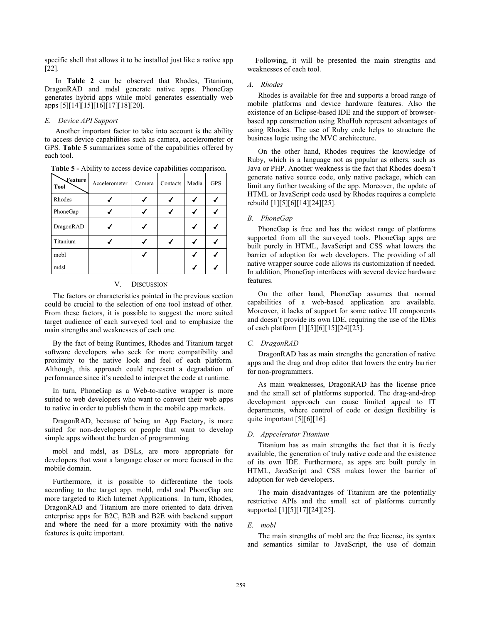specific shell that allows it to be installed just like a native app [22].

In **Table 2** can be observed that Rhodes, Titanium, DragonRAD and mdsl generate native apps. PhoneGap generates hybrid apps while mobl generates essentially web apps [5][14][15][16][17][18][20].

# *E. Device API Support*

Another important factor to take into account is the ability to access device capabilities such as camera, accelerometer or GPS. **Table 5** summarizes some of the capabilities offered by each tool.

| Feature<br><b>Tool</b> | Accelerometer | Camera | Contacts | Media | <b>GPS</b> |
|------------------------|---------------|--------|----------|-------|------------|
| Rhodes                 |               |        |          |       |            |
| PhoneGap               |               |        |          |       |            |
| DragonRAD              |               |        |          |       |            |
| Titanium               |               |        |          |       |            |
| mobl                   |               |        |          |       |            |
| mdsl                   |               |        |          |       |            |

**Table 5 -** Ability to access device capabilities comparison.

#### V. DISCUSSION

The factors or characteristics pointed in the previous section could be crucial to the selection of one tool instead of other. From these factors, it is possible to suggest the more suited target audience of each surveyed tool and to emphasize the main strengths and weaknesses of each one.

By the fact of being Runtimes, Rhodes and Titanium target software developers who seek for more compatibility and proximity to the native look and feel of each platform. Although, this approach could represent a degradation of performance since it's needed to interpret the code at runtime.

In turn, PhoneGap as a Web-to-native wrapper is more suited to web developers who want to convert their web apps to native in order to publish them in the mobile app markets.

DragonRAD, because of being an App Factory, is more suited for non-developers or people that want to develop simple apps without the burden of programming.

mobl and mdsl, as DSLs, are more appropriate for developers that want a language closer or more focused in the mobile domain.

Furthermore, it is possible to differentiate the tools according to the target app. mobl, mdsl and PhoneGap are more targeted to Rich Internet Applications. In turn, Rhodes, DragonRAD and Titanium are more oriented to data driven enterprise apps for B2C, B2B and B2E with backend support and where the need for a more proximity with the native features is quite important.

Following, it will be presented the main strengths and weaknesses of each tool.

#### *A. Rhodes*

Rhodes is available for free and supports a broad range of mobile platforms and device hardware features. Also the existence of an Eclipse-based IDE and the support of browserbased app construction using RhoHub represent advantages of using Rhodes. The use of Ruby code helps to structure the business logic using the MVC architecture.

On the other hand, Rhodes requires the knowledge of Ruby, which is a language not as popular as others, such as Java or PHP. Another weakness is the fact that Rhodes doesn't generate native source code, only native package, which can limit any further tweaking of the app. Moreover, the update of HTML or JavaScript code used by Rhodes requires a complete rebuild [1][5][6][14][24][25].

#### *B. PhoneGap*

PhoneGap is free and has the widest range of platforms supported from all the surveyed tools. PhoneGap apps are built purely in HTML, JavaScript and CSS what lowers the barrier of adoption for web developers. The providing of all native wrapper source code allows its customization if needed. In addition, PhoneGap interfaces with several device hardware features.

On the other hand, PhoneGap assumes that normal capabilities of a web-based application are available. Moreover, it lacks of support for some native UI components and doesn't provide its own IDE, requiring the use of the IDEs of each platform [1][5][6][15][24][25].

#### *C. DragonRAD*

DragonRAD has as main strengths the generation of native apps and the drag and drop editor that lowers the entry barrier for non-programmers.

As main weaknesses, DragonRAD has the license price and the small set of platforms supported. The drag-and-drop development approach can cause limited appeal to IT departments, where control of code or design flexibility is quite important [5][6][16].

# *D. Appcelerator Titanium*

Titanium has as main strengths the fact that it is freely available, the generation of truly native code and the existence of its own IDE. Furthermore, as apps are built purely in HTML, JavaScript and CSS makes lower the barrier of adoption for web developers.

The main disadvantages of Titanium are the potentially restrictive APIs and the small set of platforms currently supported [1][5][17][24][25].

#### *E. mobl*

The main strengths of mobl are the free license, its syntax and semantics similar to JavaScript, the use of domain